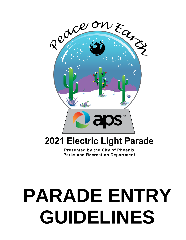

# **2021 Electric Light Parade**

Presented by the City of Phoenix **Parks and Recreation Department** 

# 1 **GUIDELINES PARADE ENTRY**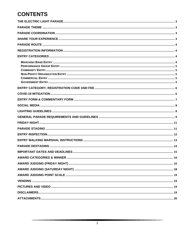# **CONTENTS**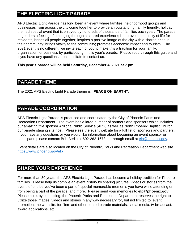# <span id="page-2-0"></span>**THE ELECTRIC LIGHT PARADE**

APS Electric Light Parade has long been an event where families, neighborhood groups and businesses from across the city come together to provide an outstanding, family friendly, holiday themed special event that is enjoyed by hundreds of thousands of families each year. The parade engenders a feeling of belonging through a shared experience; it improves the quality of life for residents, brings all people together; inspires a positive image of the city with a shared pride in their community; brings vitality to the community; promotes economic impact and tourism. The 2021 event is no different; we invite each of you to make this a tradition for your family, organization, or business by participating in this year's parade. Please read through this guide and if you have any questions, don't hesitate to contact us.

**This year's parade will be held Saturday, December 4, 2021 at 7 pm.**

### <span id="page-2-1"></span>**PARADE THEME**

The 2021 APS Electric Light Parade theme is **"PEACE ON EARTH"**.

# <span id="page-2-2"></span>**PARADE COORDINATION**

APS Electric Light Parade is produced and coordinated by the City of Phoenix Parks and Recreation Department. The event has a large number of partners and sponsors which includes our amazing title sponsor Arizona Public Service (APS) as well as North Phoenix Baptist Church, our parade staging site host. Please see the event website for a full list of sponsors and partners. If you have any questions or you would like information about becoming an event sponsor or participant, please contact Bob Berlin at 602-262-1678, or through email at [elp@phoenix.gov.](mailto:elp@phoenix.gov)

Event details are also located on the City of Phoenix, Parks and Recreation Department web site <https://www.phoenix.gov/elp>

# <span id="page-2-3"></span>**SHARE YOUR EXPERIENCE**

For more than 30 years, the APS Electric Light Parade has become a holiday tradition for Phoenix families. Please help us compile an event history by sharing pictures, videos or stories from the event, of entries you've been a part of, special memorable moments you have while attending or from being a part of the parade, and more. Please send your memories to **[elp@phoenix.gov.](mailto:elp@phoenix.gov)** Please note, by submitting, the Phoenix Parks and Recreation Department reserves the right to utilize those images, videos and stories in any way necessary for, but not limited to, event promotion, the web site, for fliers and other printed parade materials, social media, tv broadcast, award applications, etc.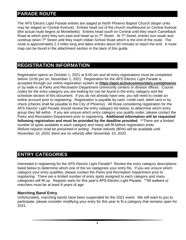# <span id="page-3-0"></span>**PARADE ROUTE**

The APS Electric Light Parade entries are staged at North Phoenix Baptist Church (larger units may be staged on Central Avenue). Entries head out of the church southbound on Central Avenue (the actual route begins at Montebello). Entries head south on Central until they reach Camelback Road at which point they turn east and head up to  $7<sup>th</sup>$  Street. At  $7<sup>th</sup>$  Street, entries turn south and continue down 7<sup>th</sup> Street until they reach Indian School Road which is the end of the route. The route is approximately 2.3 miles long and takes entries about 60 minutes to reach the end. A route map can be found in the attachment section in the back of this guide.

# <span id="page-3-1"></span>**REGISTRATION INFORMATION**

Registration opens on October 1, 2021 at 8:00 am and all entry registrations must be completed before 10:00 pm on, November 1, 2021. Registration for the APS Electric Light Parade is accepted through our online registration system at **<https://apm.activecommunities.com/phoenix>** or by walk-in at Parks and Recreation Department community centers or division offices. Course codes for the entry category you are looking for can be found in the entry category and fee schedule section of this document. If you do not already have one, you will need to create an online account prior to registering. Registration is payable by cash, credit card, debit card or by check (checks shall be payable to the City of Phoenix). All those considering registration for the APS Electric Light Parade should review the entry category list below, to determine which entry group they fall within. If you are unsure which entry category you qualify under, please contact the Parks and Recreation Department prior to registering. **Additional information will be requested following registration and must be provided by the deadline provided.** \*\*There are a limited number of spots available in each category and many will fill before registration ends. *Refund request shall be presented in writing. Partial refunds (80%) will be available until November 10, 2020; there are no refunds after November 10, 2020.*

# <span id="page-3-2"></span>**ENTRY CATEGORIES**

Interested in registering for the APS Electric Light Parade? Review the entry category descriptions listed below to determine which one of the six categories your entry fits. If you are unsure which category your entry qualifies, please contact the Parks and Recreation Department prior to registering. There are a limited number of entry spots assigned to each category and many categories will fill up. Register early for this year's APS Electric Light Parade. \*\*All walkers or marchers must be at least 8 years of age.

### <span id="page-3-3"></span>**Marching Band Entry**

Unfortunately, marching bands have been suspended for the 2021 event. We still want to you to participate; please consider modifying your entry for this year to fit a category that remains open for 2021.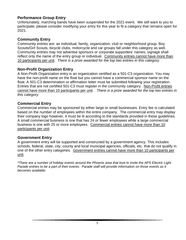### <span id="page-4-0"></span>**Performance Group Entry**

Unfortunately, marching bands have been suspended for the 2021 event. We still want to you to participate; please consider modifying your entry for this year to fit a category that remains open for 2021.

### <span id="page-4-1"></span>**Community Entry**

Community entries are: an individual, family, organization, club or neighborhood group. Boy Scouts/Girl Scouts, bicycle clubs, motorcycle and car groups fall under this category as well. Community entries may not advertise sponsors or corporate supporters' names; signage shall reflect only the name of the entry group or individual. Community entries cannot have more than 10 participants per unit. *There is a prize awarded for the top two entries in this category.*

### <span id="page-4-2"></span>**Non-Profit Organization Entry**

A Non-Profit Organization entry is an organization certified as a 501-C3 organization. You may have the non-profit name on the float but you cannot have a commercial sponsor name on the float. A 501-C3 determination or affirmation letter must be submitted following your registration. Entries that are not certified 501-C3 must register in the community category. Non-Profit entries cannot have more than 10 participants per unit. *There is a prize awarded for the top two entries in this category.*

### <span id="page-4-3"></span>**Commercial Entry**

Commercial entries may be sponsored by either large or small businesses. Entry fee is calculated based on the number of employees within the entire company. The commercial entry may display their company logo however, it must be lit according to the standards provided in these guidelines. A small commercial business is one that has 24 or fewer employees while a large commercial business is one with 25 or more employees. Commercial entries cannot have more than 10 participants per unit.

### <span id="page-4-4"></span>**Government Entry**

A government entry will be supported and constructed by a government agency. This includes schools, federal, state, city, county and local municipal agencies, officials, etc. that do not qualify in one of the other entry categories. Government entries cannot have more than 10 participants per unit.

*\*There are a number of holiday events around the Phoenix area that love to invite the APS Electric Light Parade entries to be a part of their events. Parade staff will provide information on those events as it becomes available.*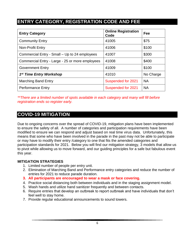# <span id="page-5-0"></span>**ENTRY CATEGORY, REGISTRATION CODE AND FEE**

| <b>Entry Category</b>                           | <b>Online Registration</b><br>Code | Fee       |
|-------------------------------------------------|------------------------------------|-----------|
| <b>Community Entry</b>                          | 41005                              | \$75      |
| Non-Profit Entry                                | 41006                              | \$100     |
| Commercial Entry - Small - Up to 24 employees   | 41007                              | \$300     |
| Commercial Entry - Large - 25 or more employees | 41008                              | \$400     |
| <b>Government Entry</b>                         | 41009                              | \$100     |
| 1 <sup>st</sup> Time Entry Workshop             | 41010                              | No Charge |
| <b>Marching Band Entry</b>                      | Suspended for 2021                 | <b>NA</b> |
| <b>Performance Entry</b>                        | Suspended for 2021                 | <b>NA</b> |

*\*\*There are a limited number of spots available in each category and many will fill before registration ends so register early.*

# <span id="page-5-1"></span>**COVID-19 MITIGATION**

Due to ongoing concerns over the spread of COVID-19, mitigation plans have been implemented to ensure the safety of all. A number of categories and participation requirements have been modified to ensure we can respond and adjust based on real time virus data. Unfortunately, this means that some who have been involved in the parade in the past may not be able to participate or may have to modify their entry /category to one that fits the amended categories and participation standards for 2021. Below you will find our mitigation strategy, 3 models that allow us to pivot while allowing us to move forward, and our guiding principles for a safe but fabulous event this year.

#### **MITIGATION STRATEGIES**

- 1. Limited number of people per entry unit.
- 2. Elimination of Marching Band and Performance entry categories and reduce the number of entries for 2021 to reduce parade duration.
- **3. All participants are encouraged to wear a mask or face covering.**
- 4. Practice social distancing both between individuals and in the staging assignment model.
- 5. Wash hands and utilize hand sanitizer frequently and between contacts.
- 6. Require entries that develop an outbreak to report outbreak and have individuals that don't feel well to stay home.
- 7. Provide regular educational announcements to sound towers.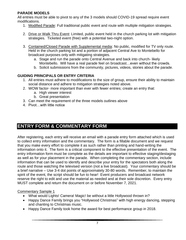### **PARADE MODELS**

All entries must be able to pivot to any of the 3 models should COVID-19 spread require event modifications.

- 1. Modified Parade: Full traditional public event and route with multiple mitigation strategies.
- 2. Drive or Walk Thru Event: Limited, public event held in the church parking lot with mitigation strategies. Ticketed event (free) with a potential two-night option.
- 3. Contained/Closed Parade with Supplemental media: No public, modified for TV only route. Held in the church parking lot and a portion of adjacent Central Ave to Montebello for broadcast purposes only with mitigating strategies.
	- a. Stage and run the parade onto Central Avenue and back into church- likely Montebello. Will have a real parade feel on broadcast…even without the crowds.
	- b. Solicit submissions from the community, pictures, videos, stories about the parade.

### **GUIDING PRINCIPALS OR ENTRY CRITERIA**

- 1. All entries must adhere to modifications to the size of group, ensure their ability to maintain social distance and adhere to mitigation strategies noted above.
- 2. WOW factor- more important than ever with fewer entries; create an entry that:
	- a. High viewer interest
	- b. Great presentation
- 3. Can meet the requirement of the three models outlines above
- 4. Pivot…with little notice

# <span id="page-6-0"></span>**ENTRY FORM & COMMENTARY FORM**

After registering, each entry will receive an email with a parade entry form attached which is used to collect entry information and the commentary. The form is a fillable document and we request that you make every effort to complete it as such rather than printing and hand-writing the information onto it. The form is a critical component to the effective presentation of the event. The entry information form must be complete as the details are important to effective staging/destaging as well as for your placement in the parade. When completing the commentary section, include information that can be used to identify and describe your entry for the spectators both along the route and those watching the televised version (not a live broadcast). Your commentary should be a brief narrative – Use 3-4 dot points of approximately 30-80 words. Remember, to maintain the spirit of the event, the script should be fun to hear! Event producers and broadcast network reserve the right to edit and use the material as needed and at their sole discretion. Every entry MUST complete and return the document on or before November 7, 2021.

### **Commentary Sample 1**

- What would Lights! Camera! Magic! be without a little Hollywood thrown in?
- Happy Dance Family brings you "Hollywood Christmas" with high energy dancing, stepping and chanting to Christmas music.
- Happy Dance Family took home the award for best performance group in 2018.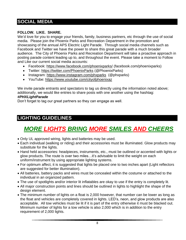# <span id="page-7-0"></span>**SOCIAL MEDIA**

### **FOLLOW. LIKE. SHARE.**

We'd love for you to engage your friends, family, business partners, etc through the use of social media. Please join the Phoenix Parks and Recreation Department in the promotion and showcasing of the annual APS Electric Light Parade. Through social media channels such as Facebook and Twitter we have the power to share this great parade with a much broader audience. The City of Phoenix Parks and Recreation Department will take a proactive approach in posting parade content leading up to, and throughout the event. Please take a moment to Follow and Like our current social media accounts:

- Facebook:<https://www.facebook.com/phoenixparks/> (facebook.com/phoenixparks)
- Twitter:<https://twitter.com/PhoenixParks> (@PhoenixParks)
- Instagram:<https://www.instagram.com/phxparks> (@phxparks)
- YouTube:<https://www.youtube.com/cityofphoenixaz>

We invite parade entrants and spectators to tag us directly using the information noted above; additionally, we would like entries to share posts with one another using the hashtag:

#### *#PHXLightParade*

Don't forget to tag our great partners so they can engage as well.

# <span id="page-7-1"></span>**LIGHTING GUIDELINES**

# *MORE LIGHTS BRING MORE SMILES AND CHEERS*

- Only UL approved wiring, lights and batteries may be used.
- Each individual (walking or riding) and their accessories must be illuminated. Glow products may substitute for the lights.
- Hand held accessories: headpieces, instruments, etc., must be outlined or accented with lights or glow products. The route is over two miles…it's advisable to limit the weight on each uniform/instrument by using appropriate lighting systems.
- For optimum affect, it is suggested that lights be placed one to two inches apart (Light reflectors are suggested for better illumination).
- All batteries, battery packs and wires must be concealed within the costume or attached to the individual in an organized pattern.
- The use of spotlights and/or interior lit inflatables are okay to use if the entry is completely lit.
- All major construction points and lines should be outlined in lights to highlight the shape of the design element.
- The minimum number of lights on a float is 2,000 however, that number can be lower as long as the float and vehicles are completely covered in lights. LED's, neon, and glow products are also acceptable. All tow vehicles must be lit if it is part of the entry otherwise it must be blacked out. Minimum number of lights for a tow vehicle is also 2,000 which is in addition to the entry requirement of 2,000 lights.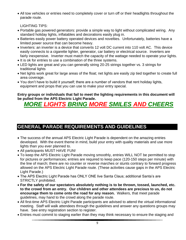• All tow vehicles or entries need to completely cover or turn off or their headlights throughout the parade route.

LIGHTING TIPS:

- Portable gas powered generators: provide a simple way to light without complicated wiring. Any standard holiday lights, inflatables and decorations easily plug in.
- Batteries easily power battery operated devices and novelties. Unfortunately, batteries have a limited power source that can become heavy.
- Inverters: an inverter is a device that converts 12 volt DC current into 110 volt AC. This device easily connects to a cigarette lighter, generator, car battery or electrical source. Inverters are fairly inexpensive. Inverter must match the capacity of the wattage needed to operate your lights.
- It is ok for entries to use a combination of the three systems.
- LED lights are great and you can generally string 20-25 strings together vs. 3 strings for traditional lights
- Net lights work great for large areas of the float; net lights are easily zip tied together to create full area coverage.
- You don't have to build it yourself; there are a number of vendors that rent holiday lights, equipment and props that you can use to make your entry special.

#### **Entry groups or individuals that fail to meet the lighting requirements in this document will be pulled from the APS Electric Light Parade.**

# *MORE LIGHTS BRING MORE SMILES AND CHEERS*

# <span id="page-8-0"></span>**GENERAL PARADE REQUIREMENTS AND GUIDELINES**

- The success of the annual APS Electric Light Parade is dependent on the amazing entries developed. With the event theme in mind, build your entry with quality materials and use more lights than you ever planned to.
- All participants MUST HAVE FUN!
- To keep the APS Electric Light Parade moving smoothly, entries WILL NOT be permitted to stop for pictures or performances; entries are required to keep pace (120-150 steps per minute) with the line of march; there are no counter or reverse marches or stunts contrary to forward progress allowed on the APS Electric Light Parade route. (These activities cause gaps in the APS Electric Light Parade.)
- The APS Electric Light Parade has ONLY ONE live Santa Claus; additional Santa's are STRICTLY prohibited.
- **For the safety of our spectators absolutely nothing is to be thrown, tossed, launched, etc. to the crowd from an entry. Our children and other attendees are precious to us, do not encourage them to come onto the road for any reason.** Walkers, that meet parade guidelines, may hand to the crowd along the parade route.
- All first-time APS Electric Light Parade participants are advised to attend the virtual informational meeting. Staff will walk attendees through the guidelines and answer any questions groups may have. See entry registration section to register.
- Entries must commit to staging earlier than they may think necessary to ensure the staging and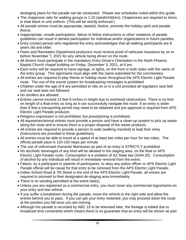destaging plans for the parade can be conducted. Please see schedules noted within this guide.

- The chaperone ratio for walking groups is 1:10 (adult/children). Chaperones are required to dress in total black or unit uniform. (This will be strictly enforced.)
- All parade entries must be appropriate, tasteful, festive, promote the holiday spirit and parade theme.
- Inappropriate, unsafe participation, failure to follow instructions or other violations of parade guidelines can result in denied participation for individual and/or organizations in future parades.
- Entry contact person who registered the entry acknowledges that all walking participants are 8 years old and older.
- Parks and Recreation Department producers must receive proof of vehicular insurance by on or before November 7, 2021 for any vehicle being driven on the route.
- All drivers must participate in the mandatory Entry Driver's Orientation in the North Phoenix Baptist Church chapel building on Friday, December 3, 2021, at 6 pm.
- Each entry will be required to have signage, in lights, on the front or both sides with the name of the entry group. This sign/name must align with the name submitted for the commentary.
- All entries are required to play theme or holiday music throughout the APS Electric Light Parade route. The use of the sound system for broadcasting messages is prohibited
- Children under the age of 8 are permitted to ride on or in a unit provided all regulatory seat belt and car seat laws are followed.
- No strollers are allowed.
- Entries cannot exceed 13 feet 6 inches in height due to overhead obstructions. There is no limit on length of a float entry as long as it can successfully navigate the route. If an entry is wider than 8 feet a transporting permit may need to be obtained and pre-approval is required from APS Electric Light Parade producer.
- Religious expression is not prohibited, but proselytizing is prohibited.
- All equestrian/animal entries must provide a person and have a clean-up system to pick up waste along the route and to ensure there is a proper disposal of the waste products.
- All entries are required to provide a person to walk (walking marshal) to lead their entry (Instructions are provided in these guidelines).
- All entries must be able to travel at a speed of at least two miles per hour for two miles. The official parade pace is 120-150 steps per minute.
- The use of unlicensed character likenesses as part of an entry is STRICTLY prohibited.
- No alcoholic beverages of any kind will be allowed in the staging area, on the float or APS Electric Light Parade route. Consumption is a violation of AZ State law (4244.20). Consumption of alcohol by any individual will result in immediate removal from the event.
- Failure, by a participant or parents of participants, to obey any police officer or APS Electric Light Parade official will be cause for that entry to be removed from the APS Electric Light Parade.
- Indian School Road & 7th Street is the end of the APS Electric Light Parade, all entries are required to proceed to their designated de-staging area immediately.
- There is no vending permitted at the event site(s).
- Unless you are registered as a commercial entry, you must cover any commercial logos/name on your entry and tow vehicle.
- If you suffer a breakdown during the parade, move the vehicle to the right side and allow the entries behind you to pass. If you can get your entry restarted, you may proceed down the route at the position you fall once you are moving.
- Although the parade is recorded by ABC 15 to be televised later, the footage is edited due to broadcast time constraints which means there is no guarantee that an entry will be shown as part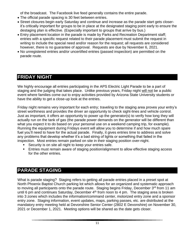of the broadcast. The Facebook live feed generally contains the entire parade.

- The official parade spacing is 30 feet between entries.
- Street closures begin early Saturday and continue and increase as the parade start gets closerit's critically important for groups to be in place at the designated staging point early to ensure the destaging plan is effective. (Especially important to groups that arrive by bus.)
- Entry placement location in the parade is made by Parks and Recreation Department staff; entries with a specific request related to their parade placement must submit the request in writing to include the special need and/or reason for the request; all requests are considered however, there is no guarantee of approval. Requests are due by November 6, 2021.
- No unregistered entries and/or uncertified entries (passed inspection) are permitted on the parade route.

# <span id="page-10-0"></span>**FRIDAY NIGHT**

We highly encourage all entries participating in the APS Electric Light Parade to be a part of staging and the judging that takes place. Unlike previous years, Friday night will not be a public event where families come out to enjoy activities provided by Arizona State University students or have the ability to get a close-up look at the entries.

Friday night remains very important for each entry; traveling to the staging area proves your entry's street worthiness and provides the driver an opportunity to check sight-lines and vehicle control. Just as important, it offers an opportunity to power up the generator(s) to verify how long they will actually run on the tank of gas (the parade power demands on the generator will be different than what you expect it to do based on your personal use on a weekend camping trip, for example). Running the equipment during Fridays event will allow you to determine if and how much spare fuel you'll need to have for the actual parade. Finally, it gives entries time to address and solve any problems that develop whether it's a bad string of lights or something that failed in the inspection. Most entries remain parked on site in their staging position over-night.

- Security is on site all night to keep your entries safe.
- Entries must remain aware of staging position/alignment to allow effective staging access for the other entries.

# <span id="page-10-1"></span>**PARADE STAGING**

What is parade staging? Staging refers to getting all parade entries placed in a preset spot at North Phoenix Baptist Church parking lot which allows for an organized and systematic approach to moving all participants onto the parade route. Staging begins Friday, December 3rd from 11 am until 6 pm and continues Saturday, December  $4<sup>th</sup>$  from noon to 4 pm. The staging area is broken into 3 zones which includes the information/command center, motorized entry zone and a sponsor entry zone. Staging information, event updates, maps, parking passes, etc. are distributed at the mandatory entry meeting held at Devonshire Senior Center (2802 E Devonshire) on November 30, 2021 or December 1, 2021. Meeting options will be shared as the date gets closer.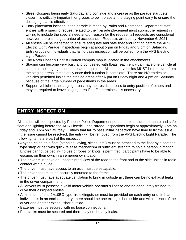- Street closures begin early Saturday and continue and increase as the parade start gets closer- it's critically important for groups to be in place at the staging point early to ensure the destaging plan is effective
- Entry placement location in the parade is made by Parks and Recreation Department staff; entries with a specific request related to their parade placement must submit the request in writing to include the special need and/or reason for the request; all requests are considered however, there is no guarantee of acceptance. Requests are due by November 6, 2021.
- All entries will be inspected to ensure adequate and safe float and lighting before the APS Electric Light Parade. Inspections begin at about 5 pm on Friday and 3 pm on Saturday. Entry groups or individuals that fail to pass inspection will be pulled from the APS Electric Light Parade.
- The North Phoenix Baptist Church campus map is located in the attachments.
- Staging can become very busy and congested with floats; each entry can have one vehicle at a time at the staging point to unload equipment. All support vehicles MUST be removed from the staging areas immediately once their function is complete. There are NO entries or vehicles permitted inside the staging areas after 6 pm on Friday night and 4 pm on Saturday because of the large number of pedestrians in the areas.
- Support vehicle in the staging areas may not restrict access to entry position of others and may be required to leave staging area if staff determines it is necessary.

# <span id="page-11-0"></span>**ENTRY INSPECTION**

All entries will be inspected by Phoenix Police Department personnel to ensure adequate and safe float and lighting before the APS Electric Light Parade. Inspections begin at approximately 5 pm on Friday and 3 pm on Saturday. Entries that fail to pass initial inspection have time to fix the issue. If the issue cannot be resolved, the entry will be removed from the APS Electric Light Parade. The following items are part of the inspection.

- Anyone riding on a float (standing, laying, sitting, etc.) must be attached to the float by a seatbelttype strap or belt with quick release mechanism of sufficient strength to hold a person in motion. Entries cannot be tied in- no use of ropes or knots is permitted; participants have to be able to escape, on their own, in an emergency situation.
- The driver must have an unobstructed view of the road to the front and to the side unless in radio contact with a guide.
- The driver must have access to an exit; must be escapable.
- The driver seat must be securely mounted to the frame.
- The driver must have adequate ventilation to bring in outside air; there can be no exhaust leaks in the driver compartment.
- All drivers must possess a valid motor vehicle operator's license and be adequately trained to drive their assigned entries.
- A minimum of one 2A10BC-type fire extinguisher must be provided on each entry or unit. If an individual is in an enclosed entry, there should be one extinguisher inside and within reach of the driver and another extinguisher outside.
- Batteries must be secured with no loose connections.
- Fuel tanks must be secured and there may not be any leaks.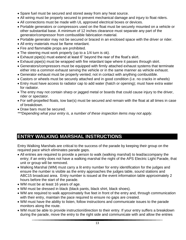- Spare fuel must be secured and stored away from any heat source.
- All wiring must be properly secured to prevent mechanical damage and injury to float riders.
- All connections must be made with UL approved electrical boxes or devices.
- Portable generators or compressors used on the float must be securely mounted on a vehicle or other substantial base. A minimum of 12 inches clearance must separate any part of the generator/compressor from combustible fabrication material.
- Portable generator may not be secured or braced in an enclosed space with the driver or rider.
- All entry materials must be flame retardant.
- Fire and flammable props are prohibited.
- The steering must work properly (up to a 1/4 turn is ok).
- Exhaust pipe(s) must extend at least 6" beyond the rear of the float's skirt.
- Exhaust pipe(s) must be wrapped with fire retardant tape where it passes through skirt.
- Generators/compressors must be equipped with firmly attached exhaust systems that terminate either into a common exhaust serving the vehicle or in the same manner as vehicle exhaust.
- Generator exhaust must be properly vented; not in contact with anything combustible.
- Castors or wheels must be securely attached and in good condition (i.e. no cracks in wheels)
- Entry must have access to radiator cap to add water (hatch or opening); must have extra water for radiator.
- The entry may not contain sharp or jagged metal or boards that could cause injury to the driver, rider or spectator.
- For self-propelled floats, tow bar(s) must be secured and remain with the float at all times in case of breakdown.
- Draw bars must be secured.
- *\*\*\*Depending what your entry is, a number of these inspection items may not apply.*

# <span id="page-12-0"></span>**ENTRY WALKING MARSHAL INSTRUCTIONS**

Entry Walking Marshals are critical to the success of the parade by keeping their group on the required pace which eliminates parade gaps.

- All entries are required to provide a person to walk (walking marshal) to lead/accompany the entry; if an entry does not have a walking marshal the night of the APS Electric Light Parade, that unit or group will be removed.
- Walking Marshal (WM) must carry a lit entry number for entry identification for the judges and ensure the number is visible as the entry approaches the judges table, sound stations and ABC15 broadcast area. Entry number is issued at the event information table approximately 2 hours before the start of the parade.
- WM must be at least 16 years of age.
- WM must be dressed in black (black pants, black shirt, black shoes).
- WM are required to walk approximately five feet in front of the entry and, through communication with their entry, maintain the pace required to ensure no gaps are created.
- WM must have the ability to listen, follow instructions and communicate issues to the parade monitors along the route.
- WM must be able to provide instruction/direction to their entry. If your entry suffers a breakdown during the parade, move the entry to the right side and communicate with and allow the entries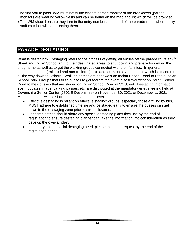behind you to pass. WM must notify the closest parade monitor of the breakdown (parade monitors are wearing yellow vests and can be found on the map and list which will be provided).

• The WM should ensure they turn in the entry number at the end of the parade route where a city staff member will be collecting them.

# <span id="page-13-0"></span>**PARADE DESTAGING**

What is destaging? Destaging refers to the process of getting all entries off the parade route at 7<sup>th</sup> Street and Indian School and to their designated areas to shut down and prepare for getting the entry home as well as to get the walking groups connected with their families. In general, motorized entries (trailered and non-trailered) are sent south on seventh street which is closed off all the way down to Osborn. Walking entries are sent west on Indian School Road to Steele Indian School Park. Groups that utilize busses to get to/from the event also travel west on Indian School Road to their busses that are staged on Indian School Road at 3<sup>rd</sup> Street. Destaging information, event updates, maps, parking passes, etc. are distributed at the mandatory entry meeting held at Devonshire Senior Center (2802 E Devonshire) on November 30, 2021 or December 1, 2021. Meeting options will be shared as the date gets closer.

- Effective destaging is reliant on effective staging; groups, especially those arriving by bus, MUST adhere to established timeline and be staged early to ensure the busses can get down to the destaging zone prior to street closures.
- Longtime entries should share any special destaging plans they use by the end of registration to ensure destaging planner can take the information into consideration as they develop the over-all plan.
- If an entry has a special destaging need, please make the request by the end of the registration period.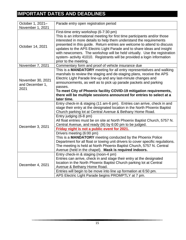# <span id="page-14-0"></span>**IMPORTANT DATES AND DEADLINES**

| October 1, 2021-                             | Parade entry open registration period                                                                                                                                                                                                                                                                                                                                                                                                                                                                                                                                                                                                                                                                                                                 |
|----------------------------------------------|-------------------------------------------------------------------------------------------------------------------------------------------------------------------------------------------------------------------------------------------------------------------------------------------------------------------------------------------------------------------------------------------------------------------------------------------------------------------------------------------------------------------------------------------------------------------------------------------------------------------------------------------------------------------------------------------------------------------------------------------------------|
| November 1, 2021                             |                                                                                                                                                                                                                                                                                                                                                                                                                                                                                                                                                                                                                                                                                                                                                       |
| October 14, 2021                             | First-time entry workshop (6-7:30 pm)<br>This is an informational meeting for first time participants and/or those<br>interested in more details to help them understand the requirements<br>presented in this guide. Return entries are welcome to attend to discuss<br>updates to the APS Electric Light Parade and to share ideas and insight<br>with newcomers. The workshop will be held virtually. Use the registration<br>system- activity 41010. Registrants will be provided a login information<br>prior to the meeting.                                                                                                                                                                                                                    |
| November 7, 2021                             | Commentary form and proof of vehicle insurance due                                                                                                                                                                                                                                                                                                                                                                                                                                                                                                                                                                                                                                                                                                    |
| November 30, 2021<br>and December 1,<br>2021 | This is a MANDATORY meeting for all entry representatives and walking<br>marshals to review the staging and de-staging plans, receive the APS<br>Electric Light Parade line-up and any last-minute changes and<br>announcements, as well as to pick up parade packets and parking<br>passes.<br>To meet City of Phoenix facility COVID-19 mitigation requirements,<br>there will be multiple sessions announced for entries to select at a<br>later time.                                                                                                                                                                                                                                                                                             |
| December 3, 2021                             | Entry check-in & staging (11 am-6 pm). Entries can arrive, check in and<br>stage their entry at the designated location in the North Phoenix Baptist<br>Church parking lot at Central Avenue & Bethany Home Road.<br>Entry judging (6-8 pm)<br>All float entries must be on site at North Phoenix Baptist Church, 5757 N.<br>Central Avenue, and ready (lit) by 6:00 pm to be judged.<br>Friday night is not a public event for 2021.<br>Drivers meeting (6:00 pm)<br>This is a MANDATORY meeting conducted by the Phoenix Police<br>Department for all float or towing unit drivers to cover specific regulations.<br>The meeting is held at North Phoenix Baptist Church, 5757 N. Central<br>Avenue (held in the chapel). Mask is required indoors. |
| December 4, 2021                             | Entry check-in & staging (noon-4 pm)<br>Entries can arrive, check in and stage their entry at the designated<br>location in the North Phoenix Baptist Church parking lot at Central<br>Avenue & Bethany Home Road.<br>Entries will begin to be move into line up formation at 6:50 pm.<br>APS Electric Light Parade begins PROMPTLY at 7 pm.                                                                                                                                                                                                                                                                                                                                                                                                          |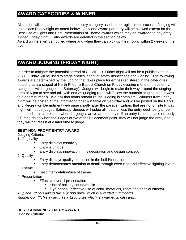# <span id="page-15-0"></span>**AWARD CATEGORIES & WINNER**

All entries will be judged based on the entry category used in the registration process. Judging will take place Friday night as noted below. Only one award per entry will be allowed except for the Best Use of Lights and Best Presentation of Theme awards which may be awarded to any entry judged Friday night. Entry awards are detailed in the section below.

Award winners will be notified where and when they can pick up their trophy within 2 weeks of the event.

# <span id="page-15-1"></span>**AWARD JUDGING (FRIDAY NIGHT)**

In order to mitigate the potential spread of COVID-19, Friday night will not be a public event in 2021. Friday will be used to stage entries, conduct safety inspections and judging. The following awards are determined by the judging that takes place for entries registered in the categories noted, that are staged at North Phoenix Baptist Church on Friday evening (none of these entry categories will be judged on Saturday). Judges will begin to make their way around the staging area at 6 pm to see and talk with entries (judging route will follow the numeric staging plan-lowest to highest number). We ask that floats remain lit until judging is complete. Winners from Friday night will be posted at the information/check-in table on Saturday and will be posted on the Parks and Recreation Department web page shortly after the parade. Entries that are not on site Friday night will not be judged Saturday. Judges will judge all floats unless the entry declines (can be done earlier at check-in or when the judges arrive at the entry). If an entry is not in place or ready (lit) for judging when the judges arrive at their placement point, they will not judge the entry and they will not return at a later time to judge.

### **BEST NON-PROFIT ENTRY AWARD**

Judging Criteria:

1. Originality

- **Entry displays creativity**
- Entry is unique
- **Entry displays innovation in its decoration and design concept**
- 2. Quality
	- Entry displays quality execution in the build/construction
	- Entry demonstrates attention to detail through execution and effective lighting levels
- 3. Theme
- Best interpretation/use of theme
- 4. Presentation
	- **Effective overall presentation** 
		- Use of holiday sound/music
		- Eye appeal (effective use of color, materials, lights and special effects)

*1 st place: \*\*This award has a \$1000 prize which is awarded in gift cards.*

*Runner-up: \*\*This award has a \$250 prize which is awarded in gift cards.*

### **BEST COMMUNITY ENTRY AWARD**

Judging Criteria: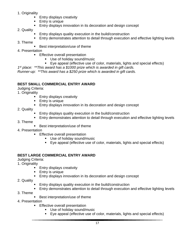- 1. Originality
	- **Entry displays creativity**
	- Entry is unique
	- Entry displays innovation in its decoration and design concept
- 2. Quality
	- Entry displays quality execution in the build/construction
	- Entry demonstrates attention to detail through execution and effective lighting levels
- 3. Theme
- Best interpretation/use of theme
- 4. Presentation
	- **Effective overall presentation** 
		- Use of holiday sound/music
		- Eye appeal (effective use of color, materials, lights and special effects)

*1 st place: \*\*This award has a \$1000 prize which is awarded in gift cards.*

*Runner-up: \*\*This award has a \$250 prize which is awarded in gift cards.*

### **BEST SMALL COMMERCIAL ENTRY AWARD**

Judging Criteria:

1. Originality

- **Entry displays creativity**
- Entry is unique
- Entry displays innovation in its decoration and design concept
- 2. Quality
	- Entry displays quality execution in the build/construction
	- Entry demonstrates attention to detail through execution and effective lighting levels
- 3. Theme
	- Best interpretation/use of theme
- 4. Presentation
	- **E** Effective overall presentation
		- Use of holiday sound/music
		- Eye appeal (effective use of color, materials, lights and special effects)

### **BEST LARGE COMMERCIAL ENTRY AWARD**

Judging Criteria:

- 1. Originality
	- Entry displays creativity
	- Entry is unique
	- Entry displays innovation in its decoration and design concept
- 2. Quality
	- Entry displays quality execution in the build/construction
	- Entry demonstrates attention to detail through execution and effective lighting levels
- 3. Theme
	- Best interpretation/use of theme
- 4. Presentation
	- Effective overall presentation
		- Use of holiday sound/music
		- Eye appeal (effective use of color, materials, lights and special effects)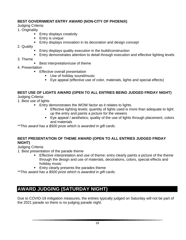### **BEST GOVERNMENT ENTRY AWARD (NON-CITY OF PHOENIX)**

Judging Criteria:

- 1. Originality
	- **Entry displays creativity**
	- Entry is unique
	- Entry displays innovation in its decoration and design concept
- 2. Quality
	- Entry displays quality execution in the build/construction
	- Entry demonstrates attention to detail through execution and effective lighting levels
- 3. Theme
- Best interpretation/use of theme
- 4. Presentation
	- **Effective overall presentation** 
		- Use of holiday sound/music
		- Eye appeal (effective use of color, materials, lights and special effects)

### **BEST USE OF LIGHTS AWARD (OPEN TO ALL ENTRIES BEING JUDGED FRIDAY NIGHT)**

Judging Criteria:

- 1. Best use of lights
	- Entry demonstrates the WOW factor as it relates to lights.
		- **Effective lighting levels; quantity of lights used is more than adequate to light** up the entry and paints a picture for the viewers
		- Eye appeal / aesthetics; quality of the use of lights through placement, colors and materials

*\*\*This award has a \$500 prize which is awarded in gift cards.*

#### **BEST PRESENTATION OF THEME AWARD (OPEN TO ALL ENTRIES JUDGED FRIDAY NIGHT)**

Judging Criteria:

1. Best presentation of the parade theme

- Effective interpretation and use of theme; entry clearly paints a picture of the theme through the design and use of materials, decorations, colors, special effects and holiday music
- Entry clearly presents the parades theme

*\*\*This award has a \$500 prize which is awarded in gift cards.*

# <span id="page-17-0"></span>**AWARD JUDGING (SATURDAY NIGHT)**

Due to COVID-19 mitigation measures, the entries typically judged on Saturday will not be part of the 2021 parade so there is no judging parade night.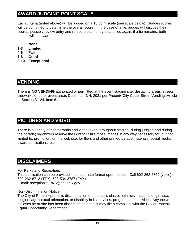# <span id="page-18-0"></span>**AWARD JUDGING POINT SCALE**

Each criteria (noted above) will be judged on a 10 point scale (see scale below). Judges scores will be combined to determine the overall score. In the case of a tie, judges will discuss their scores, possibly review entry and re-score each entry that is tied again, if a tie remains, both entries will be awarded.

- **0 None**
- **1-3 Limited**
- **4-6 Fair**
- **7-8 Good**
- **9-10 Exceptional**

### <span id="page-18-1"></span>**VENDING**

There is **NO VENDING** authorized or permitted at the event staging site, destaging areas, streets, sidewalks or other event areas December 3-4, 2021 per Phoenix City Code, Street Vending, Article II, Section 31-24, Item 6.

### <span id="page-18-2"></span>**PICTURES AND VIDEO**

There is a variety of photographs and video taken throughout staging, during judging and during the parade; organizers reserve the right to utilize those images in any way necessary for, but not limited to, promotion, on the web site, for fliers and other printed parade materials, social media, award applications, etc.

# <span id="page-18-3"></span>**DISCLAIMERS**

For Parks and Recreation:

This publication can be provided in an alternate format upon request. Call 602-262-6862 (voice) or 602-262-6713 (TTY). 602-534-3787 (FAX).

E-mail: receptionist.PKS@phoenix.gov

Non-Discrimination Notice:

The City of Phoenix prohibits discrimination on the basis of race, ethnicity, national origin, sex, religion, age, sexual orientation, or disability in its services, programs and activities. Anyone who believes he or she has been discriminated against may file a complaint with the City of Phoenix Equal Opportunity Department.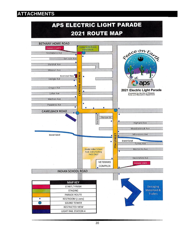# <span id="page-19-0"></span>**ATTACHMENTS**

# APS ELECTRIC LIGHT PARADE **2021 ROUTE MAP**